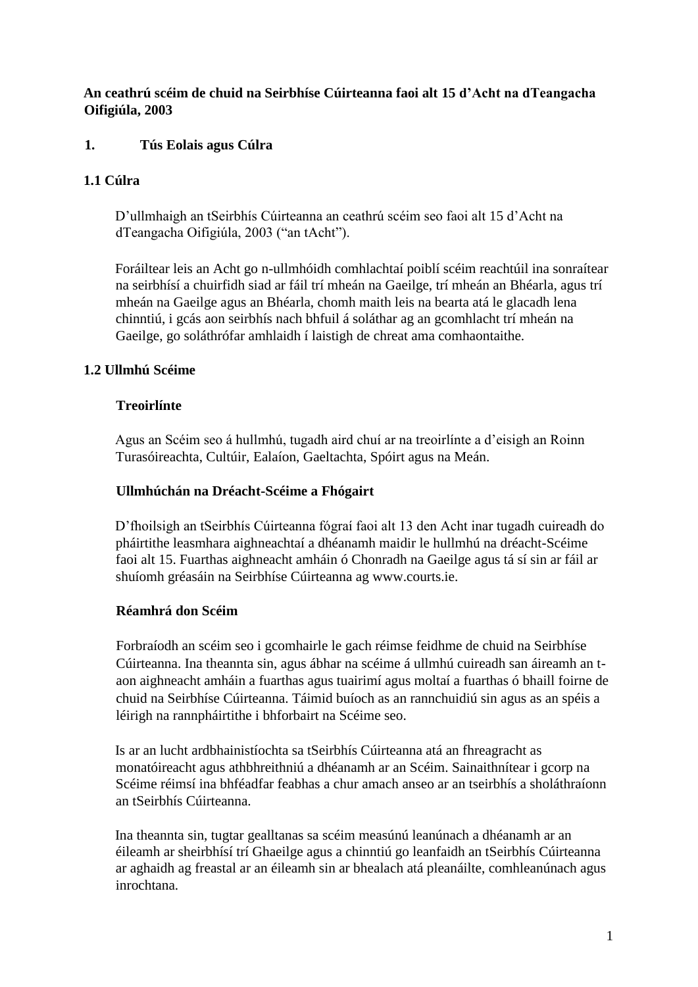# **An ceathrú scéim de chuid na Seirbhíse Cúirteanna faoi alt 15 d'Acht na dTeangacha Oifigiúla, 2003**

# **1. Tús Eolais agus Cúlra**

# **1.1 Cúlra**

D'ullmhaigh an tSeirbhís Cúirteanna an ceathrú scéim seo faoi alt 15 d'Acht na dTeangacha Oifigiúla, 2003 ("an tAcht").

Foráiltear leis an Acht go n-ullmhóidh comhlachtaí poiblí scéim reachtúil ina sonraítear na seirbhísí a chuirfidh siad ar fáil trí mheán na Gaeilge, trí mheán an Bhéarla, agus trí mheán na Gaeilge agus an Bhéarla, chomh maith leis na bearta atá le glacadh lena chinntiú, i gcás aon seirbhís nach bhfuil á soláthar ag an gcomhlacht trí mheán na Gaeilge, go soláthrófar amhlaidh í laistigh de chreat ama comhaontaithe.

### **1.2 Ullmhú Scéime**

### **Treoirlínte**

Agus an Scéim seo á hullmhú, tugadh aird chuí ar na treoirlínte a d'eisigh an Roinn Turasóireachta, Cultúir, Ealaíon, Gaeltachta, Spóirt agus na Meán.

#### **Ullmhúchán na Dréacht-Scéime a Fhógairt**

D'fhoilsigh an tSeirbhís Cúirteanna fógraí faoi alt 13 den Acht inar tugadh cuireadh do pháirtithe leasmhara aighneachtaí a dhéanamh maidir le hullmhú na dréacht-Scéime faoi alt 15. Fuarthas aighneacht amháin ó Chonradh na Gaeilge agus tá sí sin ar fáil ar shuíomh gréasáin na Seirbhíse Cúirteanna ag www.courts.ie.

### **Réamhrá don Scéim**

Forbraíodh an scéim seo i gcomhairle le gach réimse feidhme de chuid na Seirbhíse Cúirteanna. Ina theannta sin, agus ábhar na scéime á ullmhú cuireadh san áireamh an taon aighneacht amháin a fuarthas agus tuairimí agus moltaí a fuarthas ó bhaill foirne de chuid na Seirbhíse Cúirteanna. Táimid buíoch as an rannchuidiú sin agus as an spéis a léirigh na rannpháirtithe i bhforbairt na Scéime seo.

Is ar an lucht ardbhainistíochta sa tSeirbhís Cúirteanna atá an fhreagracht as monatóireacht agus athbhreithniú a dhéanamh ar an Scéim. Sainaithnítear i gcorp na Scéime réimsí ina bhféadfar feabhas a chur amach anseo ar an tseirbhís a sholáthraíonn an tSeirbhís Cúirteanna.

Ina theannta sin, tugtar gealltanas sa scéim measúnú leanúnach a dhéanamh ar an éileamh ar sheirbhísí trí Ghaeilge agus a chinntiú go leanfaidh an tSeirbhís Cúirteanna ar aghaidh ag freastal ar an éileamh sin ar bhealach atá pleanáilte, comhleanúnach agus inrochtana.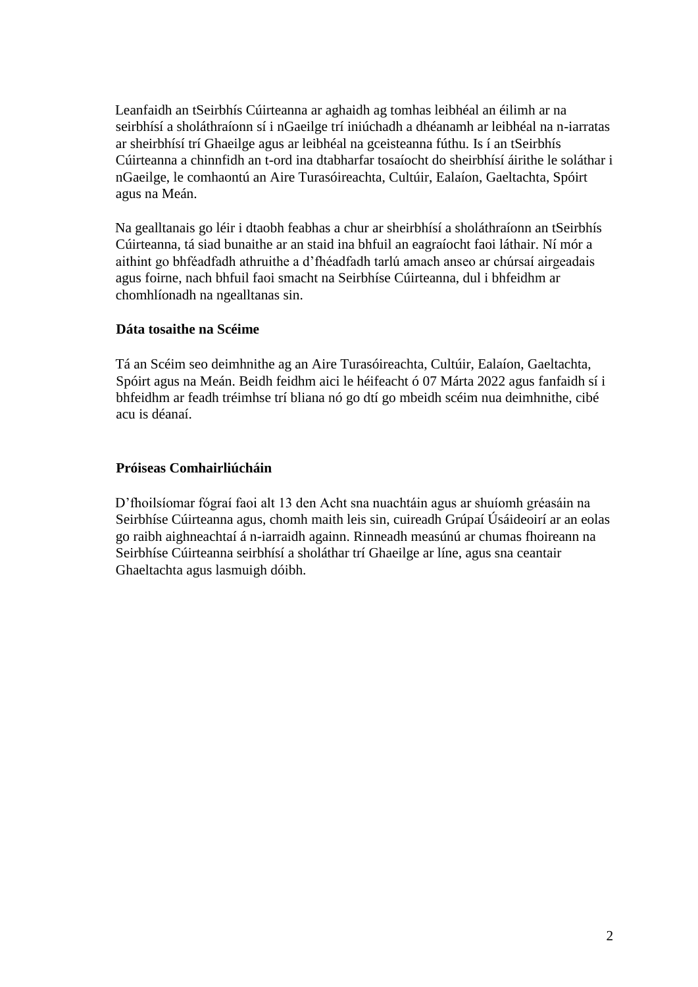Leanfaidh an tSeirbhís Cúirteanna ar aghaidh ag tomhas leibhéal an éilimh ar na seirbhísí a sholáthraíonn sí i nGaeilge trí iniúchadh a dhéanamh ar leibhéal na n-iarratas ar sheirbhísí trí Ghaeilge agus ar leibhéal na gceisteanna fúthu. Is í an tSeirbhís Cúirteanna a chinnfidh an t-ord ina dtabharfar tosaíocht do sheirbhísí áirithe le soláthar i nGaeilge, le comhaontú an Aire Turasóireachta, Cultúir, Ealaíon, Gaeltachta, Spóirt agus na Meán.

Na gealltanais go léir i dtaobh feabhas a chur ar sheirbhísí a sholáthraíonn an tSeirbhís Cúirteanna, tá siad bunaithe ar an staid ina bhfuil an eagraíocht faoi láthair. Ní mór a aithint go bhféadfadh athruithe a d'fhéadfadh tarlú amach anseo ar chúrsaí airgeadais agus foirne, nach bhfuil faoi smacht na Seirbhíse Cúirteanna, dul i bhfeidhm ar chomhlíonadh na ngealltanas sin.

#### **Dáta tosaithe na Scéime**

Tá an Scéim seo deimhnithe ag an Aire Turasóireachta, Cultúir, Ealaíon, Gaeltachta, Spóirt agus na Meán. Beidh feidhm aici le héifeacht ó 07 Márta 2022 agus fanfaidh sí i bhfeidhm ar feadh tréimhse trí bliana nó go dtí go mbeidh scéim nua deimhnithe, cibé acu is déanaí.

#### **Próiseas Comhairliúcháin**

D'fhoilsíomar fógraí faoi alt 13 den Acht sna nuachtáin agus ar shuíomh gréasáin na Seirbhíse Cúirteanna agus, chomh maith leis sin, cuireadh Grúpaí Úsáideoirí ar an eolas go raibh aighneachtaí á n-iarraidh againn. Rinneadh measúnú ar chumas fhoireann na Seirbhíse Cúirteanna seirbhísí a sholáthar trí Ghaeilge ar líne, agus sna ceantair Ghaeltachta agus lasmuigh dóibh.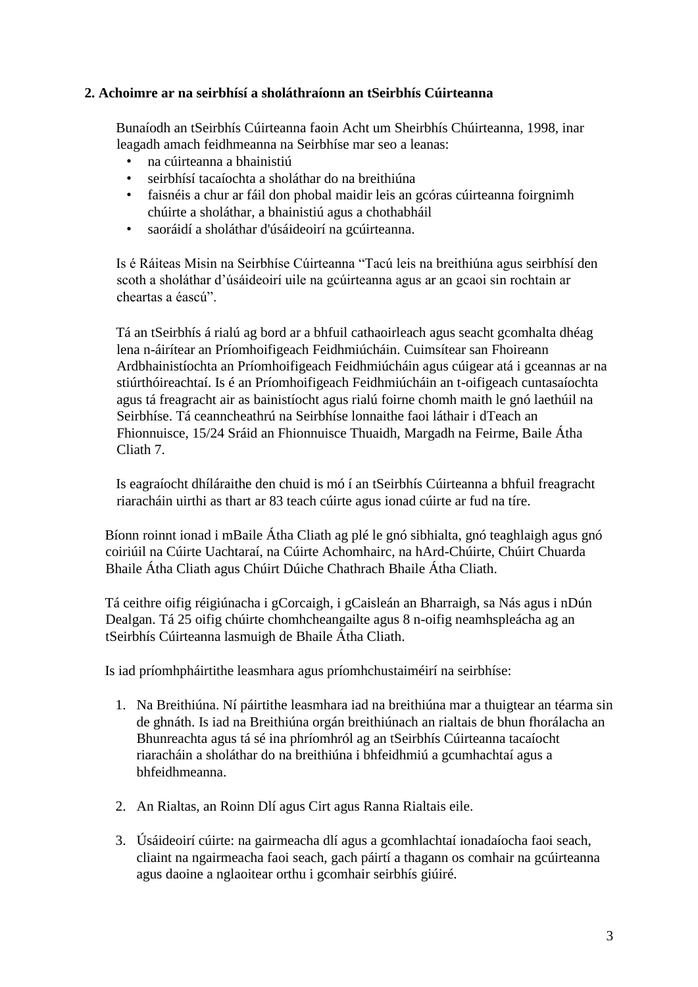## **2. Achoimre ar na seirbhísí a sholáthraíonn an tSeirbhís Cúirteanna**

Bunaíodh an tSeirbhís Cúirteanna faoin Acht um Sheirbhís Chúirteanna, 1998, inar leagadh amach feidhmeanna na Seirbhíse mar seo a leanas:

- na cúirteanna a bhainistiú
- seirbhísí tacaíochta a sholáthar do na breithiúna
- faisnéis a chur ar fáil don phobal maidir leis an gcóras cúirteanna foirgnimh chúirte a sholáthar, a bhainistiú agus a chothabháil
- saoráidí a sholáthar d'úsáideoirí na gcúirteanna.

Is é Ráiteas Misin na Seirbhíse Cúirteanna "Tacú leis na breithiúna agus seirbhísí den scoth a sholáthar d'úsáideoirí uile na gcúirteanna agus ar an gcaoi sin rochtain ar cheartas a éascú".

Tá an tSeirbhís á rialú ag bord ar a bhfuil cathaoirleach agus seacht gcomhalta dhéag lena n-áirítear an Príomhoifigeach Feidhmiúcháin. Cuimsítear san Fhoireann Ardbhainistíochta an Príomhoifigeach Feidhmiúcháin agus cúigear atá i gceannas ar na stiúrthóireachtaí. Is é an Príomhoifigeach Feidhmiúcháin an t-oifigeach cuntasaíochta agus tá freagracht air as bainistíocht agus rialú foirne chomh maith le gnó laethúil na Seirbhíse. Tá ceanncheathrú na Seirbhíse lonnaithe faoi láthair i dTeach an Fhionnuisce, 15/24 Sráid an Fhionnuisce Thuaidh, Margadh na Feirme, Baile Átha Cliath 7.

Is eagraíocht dhíláraithe den chuid is mó í an tSeirbhís Cúirteanna a bhfuil freagracht riaracháin uirthi as thart ar 83 teach cúirte agus ionad cúirte ar fud na tíre.

Bíonn roinnt ionad i mBaile Átha Cliath ag plé le gnó sibhialta, gnó teaghlaigh agus gnó coiriúil na Cúirte Uachtaraí, na Cúirte Achomhairc, na hArd-Chúirte, Chúirt Chuarda Bhaile Átha Cliath agus Chúirt Dúiche Chathrach Bhaile Átha Cliath.

Tá ceithre oifig réigiúnacha i gCorcaigh, i gCaisleán an Bharraigh, sa Nás agus i nDún Dealgan. Tá 25 oifig chúirte chomhcheangailte agus 8 n-oifig neamhspleácha ag an tSeirbhís Cúirteanna lasmuigh de Bhaile Átha Cliath.

Is iad príomhpháirtithe leasmhara agus príomhchustaiméirí na seirbhíse:

- 1. Na Breithiúna. Ní páirtithe leasmhara iad na breithiúna mar a thuigtear an téarma sin de ghnáth. Is iad na Breithiúna orgán breithiúnach an rialtais de bhun fhorálacha an Bhunreachta agus tá sé ina phríomhról ag an tSeirbhís Cúirteanna tacaíocht riaracháin a sholáthar do na breithiúna i bhfeidhmiú a gcumhachtaí agus a bhfeidhmeanna.
- 2. An Rialtas, an Roinn Dlí agus Cirt agus Ranna Rialtais eile.
- 3. Úsáideoirí cúirte: na gairmeacha dlí agus a gcomhlachtaí ionadaíocha faoi seach, cliaint na ngairmeacha faoi seach, gach páirtí a thagann os comhair na gcúirteanna agus daoine a nglaoitear orthu i gcomhair seirbhís giúiré.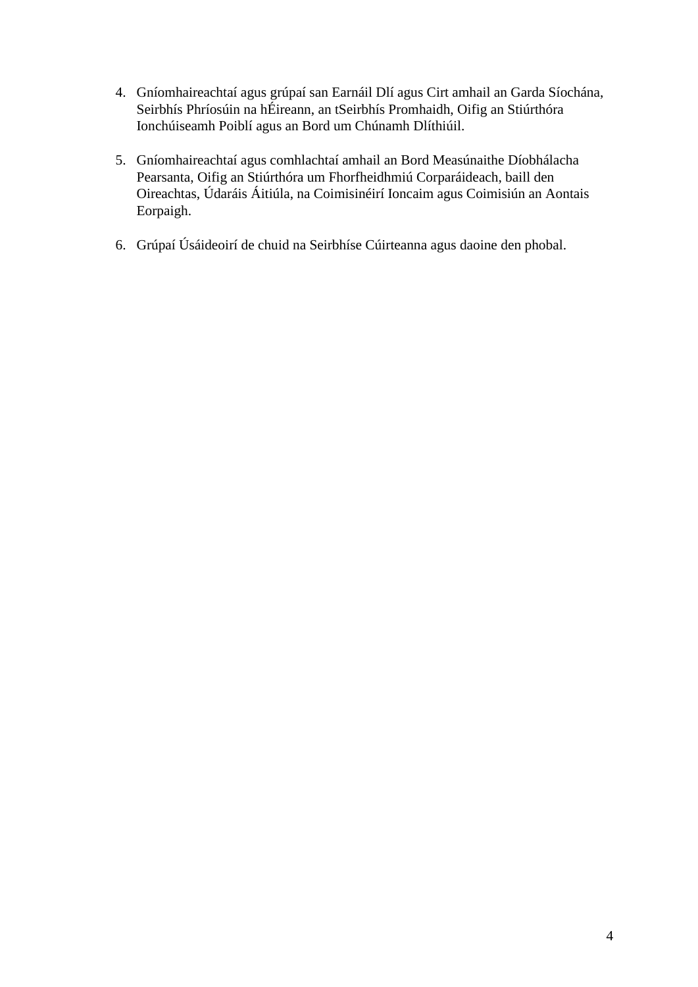- 4. Gníomhaireachtaí agus grúpaí san Earnáil Dlí agus Cirt amhail an Garda Síochána, Seirbhís Phríosúin na hÉireann, an tSeirbhís Promhaidh, Oifig an Stiúrthóra Ionchúiseamh Poiblí agus an Bord um Chúnamh Dlíthiúil.
- 5. Gníomhaireachtaí agus comhlachtaí amhail an Bord Measúnaithe Díobhálacha Pearsanta, Oifig an Stiúrthóra um Fhorfheidhmiú Corparáideach, baill den Oireachtas, Údaráis Áitiúla, na Coimisinéirí Ioncaim agus Coimisiún an Aontais Eorpaigh.
- 6. Grúpaí Úsáideoirí de chuid na Seirbhíse Cúirteanna agus daoine den phobal.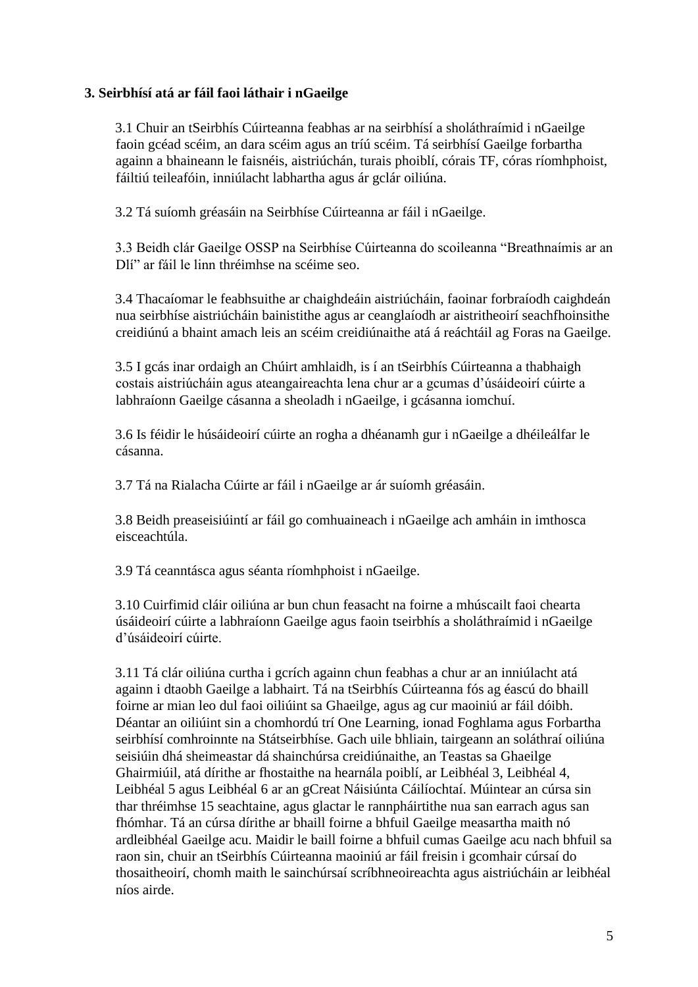### **3. Seirbhísí atá ar fáil faoi láthair i nGaeilge**

3.1 Chuir an tSeirbhís Cúirteanna feabhas ar na seirbhísí a sholáthraímid i nGaeilge faoin gcéad scéim, an dara scéim agus an tríú scéim. Tá seirbhísí Gaeilge forbartha againn a bhaineann le faisnéis, aistriúchán, turais phoiblí, córais TF, córas ríomhphoist, fáiltiú teileafóin, inniúlacht labhartha agus ár gclár oiliúna.

3.2 Tá suíomh gréasáin na Seirbhíse Cúirteanna ar fáil i nGaeilge.

3.3 Beidh clár Gaeilge OSSP na Seirbhíse Cúirteanna do scoileanna "Breathnaímis ar an Dlí" ar fáil le linn thréimhse na scéime seo.

3.4 Thacaíomar le feabhsuithe ar chaighdeáin aistriúcháin, faoinar forbraíodh caighdeán nua seirbhíse aistriúcháin bainistithe agus ar ceanglaíodh ar aistritheoirí seachfhoinsithe creidiúnú a bhaint amach leis an scéim creidiúnaithe atá á reáchtáil ag Foras na Gaeilge.

3.5 I gcás inar ordaigh an Chúirt amhlaidh, is í an tSeirbhís Cúirteanna a thabhaigh costais aistriúcháin agus ateangaireachta lena chur ar a gcumas d'úsáideoirí cúirte a labhraíonn Gaeilge cásanna a sheoladh i nGaeilge, i gcásanna iomchuí.

3.6 Is féidir le húsáideoirí cúirte an rogha a dhéanamh gur i nGaeilge a dhéileálfar le cásanna.

3.7 Tá na Rialacha Cúirte ar fáil i nGaeilge ar ár suíomh gréasáin.

3.8 Beidh preaseisiúintí ar fáil go comhuaineach i nGaeilge ach amháin in imthosca eisceachtúla.

3.9 Tá ceanntásca agus séanta ríomhphoist i nGaeilge.

3.10 Cuirfimid cláir oiliúna ar bun chun feasacht na foirne a mhúscailt faoi chearta úsáideoirí cúirte a labhraíonn Gaeilge agus faoin tseirbhís a sholáthraímid i nGaeilge d'úsáideoirí cúirte.

3.11 Tá clár oiliúna curtha i gcrích againn chun feabhas a chur ar an inniúlacht atá againn i dtaobh Gaeilge a labhairt. Tá na tSeirbhís Cúirteanna fós ag éascú do bhaill foirne ar mian leo dul faoi oiliúint sa Ghaeilge, agus ag cur maoiniú ar fáil dóibh. Déantar an oiliúint sin a chomhordú trí One Learning, ionad Foghlama agus Forbartha seirbhísí comhroinnte na Státseirbhíse. Gach uile bhliain, tairgeann an soláthraí oiliúna seisiúin dhá sheimeastar dá shainchúrsa creidiúnaithe, an Teastas sa Ghaeilge Ghairmiúil, atá dírithe ar fhostaithe na hearnála poiblí, ar Leibhéal 3, Leibhéal 4, Leibhéal 5 agus Leibhéal 6 ar an gCreat Náisiúnta Cáilíochtaí. Múintear an cúrsa sin thar thréimhse 15 seachtaine, agus glactar le rannpháirtithe nua san earrach agus san fhómhar. Tá an cúrsa dírithe ar bhaill foirne a bhfuil Gaeilge measartha maith nó ardleibhéal Gaeilge acu. Maidir le baill foirne a bhfuil cumas Gaeilge acu nach bhfuil sa raon sin, chuir an tSeirbhís Cúirteanna maoiniú ar fáil freisin i gcomhair cúrsaí do thosaitheoirí, chomh maith le sainchúrsaí scríbhneoireachta agus aistriúcháin ar leibhéal níos airde.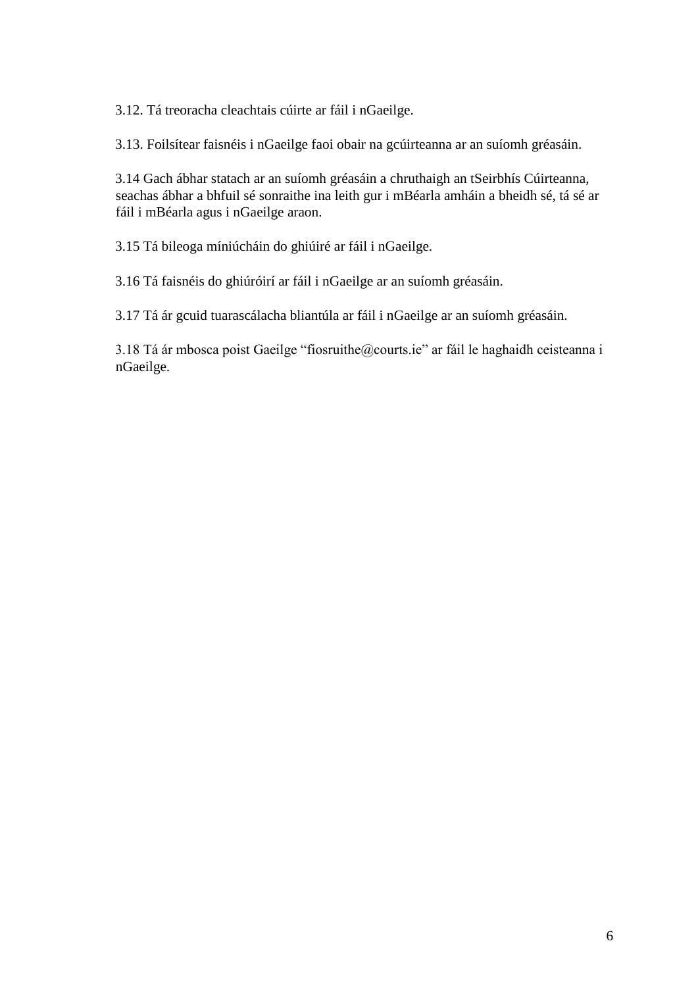3.12. Tá treoracha cleachtais cúirte ar fáil i nGaeilge.

3.13. Foilsítear faisnéis i nGaeilge faoi obair na gcúirteanna ar an suíomh gréasáin.

3.14 Gach ábhar statach ar an suíomh gréasáin a chruthaigh an tSeirbhís Cúirteanna, seachas ábhar a bhfuil sé sonraithe ina leith gur i mBéarla amháin a bheidh sé, tá sé ar fáil i mBéarla agus i nGaeilge araon.

3.15 Tá bileoga míniúcháin do ghiúiré ar fáil i nGaeilge.

3.16 Tá faisnéis do ghiúróirí ar fáil i nGaeilge ar an suíomh gréasáin.

3.17 Tá ár gcuid tuarascálacha bliantúla ar fáil i nGaeilge ar an suíomh gréasáin.

3.18 Tá ár mbosca poist Gaeilge "fiosruithe@courts.ie" ar fáil le haghaidh ceisteanna i nGaeilge.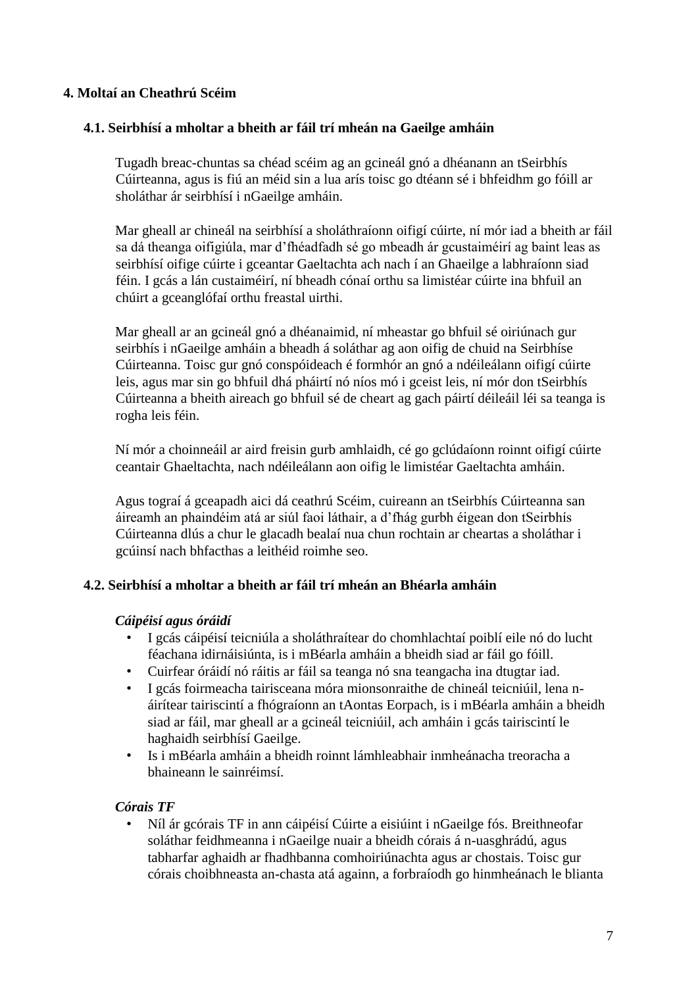# **4. Moltaí an Cheathrú Scéim**

#### **4.1. Seirbhísí a mholtar a bheith ar fáil trí mheán na Gaeilge amháin**

Tugadh breac-chuntas sa chéad scéim ag an gcineál gnó a dhéanann an tSeirbhís Cúirteanna, agus is fiú an méid sin a lua arís toisc go dtéann sé i bhfeidhm go fóill ar sholáthar ár seirbhísí i nGaeilge amháin.

Mar gheall ar chineál na seirbhísí a sholáthraíonn oifigí cúirte, ní mór iad a bheith ar fáil sa dá theanga oifigiúla, mar d'fhéadfadh sé go mbeadh ár gcustaiméirí ag baint leas as seirbhísí oifige cúirte i gceantar Gaeltachta ach nach í an Ghaeilge a labhraíonn siad féin. I gcás a lán custaiméirí, ní bheadh cónaí orthu sa limistéar cúirte ina bhfuil an chúirt a gceanglófaí orthu freastal uirthi.

Mar gheall ar an gcineál gnó a dhéanaimid, ní mheastar go bhfuil sé oiriúnach gur seirbhís i nGaeilge amháin a bheadh á soláthar ag aon oifig de chuid na Seirbhíse Cúirteanna. Toisc gur gnó conspóideach é formhór an gnó a ndéileálann oifigí cúirte leis, agus mar sin go bhfuil dhá pháirtí nó níos mó i gceist leis, ní mór don tSeirbhís Cúirteanna a bheith aireach go bhfuil sé de cheart ag gach páirtí déileáil léi sa teanga is rogha leis féin.

Ní mór a choinneáil ar aird freisin gurb amhlaidh, cé go gclúdaíonn roinnt oifigí cúirte ceantair Ghaeltachta, nach ndéileálann aon oifig le limistéar Gaeltachta amháin.

Agus tograí á gceapadh aici dá ceathrú Scéim, cuireann an tSeirbhís Cúirteanna san áireamh an phaindéim atá ar siúl faoi láthair, a d'fhág gurbh éigean don tSeirbhís Cúirteanna dlús a chur le glacadh bealaí nua chun rochtain ar cheartas a sholáthar i gcúinsí nach bhfacthas a leithéid roimhe seo.

# **4.2. Seirbhísí a mholtar a bheith ar fáil trí mheán an Bhéarla amháin**

#### *Cáipéisí agus óráidí*

- I gcás cáipéisí teicniúla a sholáthraítear do chomhlachtaí poiblí eile nó do lucht féachana idirnáisiúnta, is i mBéarla amháin a bheidh siad ar fáil go fóill.
- Cuirfear óráidí nó ráitis ar fáil sa teanga nó sna teangacha ina dtugtar iad.
- I gcás foirmeacha tairisceana móra mionsonraithe de chineál teicniúil, lena náirítear tairiscintí a fhógraíonn an tAontas Eorpach, is i mBéarla amháin a bheidh siad ar fáil, mar gheall ar a gcineál teicniúil, ach amháin i gcás tairiscintí le haghaidh seirbhísí Gaeilge.
- Is i mBéarla amháin a bheidh roinnt lámhleabhair inmheánacha treoracha a bhaineann le sainréimsí.

### *Córais TF*

• Níl ár gcórais TF in ann cáipéisí Cúirte a eisiúint i nGaeilge fós. Breithneofar soláthar feidhmeanna i nGaeilge nuair a bheidh córais á n-uasghrádú, agus tabharfar aghaidh ar fhadhbanna comhoiriúnachta agus ar chostais. Toisc gur córais choibhneasta an-chasta atá againn, a forbraíodh go hinmheánach le blianta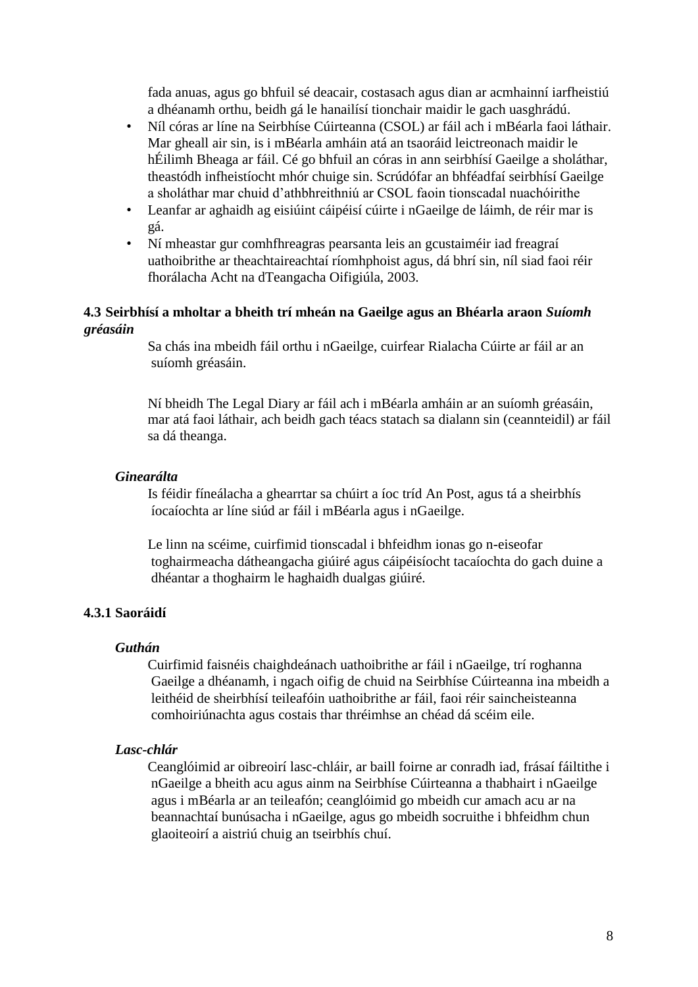fada anuas, agus go bhfuil sé deacair, costasach agus dian ar acmhainní iarfheistiú a dhéanamh orthu, beidh gá le hanailísí tionchair maidir le gach uasghrádú.

- Níl córas ar líne na Seirbhíse Cúirteanna (CSOL) ar fáil ach i mBéarla faoi láthair. Mar gheall air sin, is i mBéarla amháin atá an tsaoráid leictreonach maidir le hÉilimh Bheaga ar fáil. Cé go bhfuil an córas in ann seirbhísí Gaeilge a sholáthar, theastódh infheistíocht mhór chuige sin. Scrúdófar an bhféadfaí seirbhísí Gaeilge a sholáthar mar chuid d'athbhreithniú ar CSOL faoin tionscadal nuachóirithe
- Leanfar ar aghaidh ag eisiúint cáipéisí cúirte i nGaeilge de láimh, de réir mar is gá.
- Ní mheastar gur comhfhreagras pearsanta leis an gcustaiméir iad freagraí uathoibrithe ar theachtaireachtaí ríomhphoist agus, dá bhrí sin, níl siad faoi réir fhorálacha Acht na dTeangacha Oifigiúla, 2003.

#### **4.3 Seirbhísí a mholtar a bheith trí mheán na Gaeilge agus an Bhéarla araon** *Suíomh gréasáin*

Sa chás ina mbeidh fáil orthu i nGaeilge, cuirfear Rialacha Cúirte ar fáil ar an suíomh gréasáin.

Ní bheidh The Legal Diary ar fáil ach i mBéarla amháin ar an suíomh gréasáin, mar atá faoi láthair, ach beidh gach téacs statach sa dialann sin (ceannteidil) ar fáil sa dá theanga.

#### *Ginearálta*

Is féidir fíneálacha a ghearrtar sa chúirt a íoc tríd An Post, agus tá a sheirbhís íocaíochta ar líne siúd ar fáil i mBéarla agus i nGaeilge.

Le linn na scéime, cuirfimid tionscadal i bhfeidhm ionas go n-eiseofar toghairmeacha dátheangacha giúiré agus cáipéisíocht tacaíochta do gach duine a dhéantar a thoghairm le haghaidh dualgas giúiré.

#### **4.3.1 Saoráidí**

#### *Guthán*

Cuirfimid faisnéis chaighdeánach uathoibrithe ar fáil i nGaeilge, trí roghanna Gaeilge a dhéanamh, i ngach oifig de chuid na Seirbhíse Cúirteanna ina mbeidh a leithéid de sheirbhísí teileafóin uathoibrithe ar fáil, faoi réir saincheisteanna comhoiriúnachta agus costais thar thréimhse an chéad dá scéim eile.

#### *Lasc-chlár*

Ceanglóimid ar oibreoirí lasc-chláir, ar baill foirne ar conradh iad, frásaí fáiltithe i nGaeilge a bheith acu agus ainm na Seirbhíse Cúirteanna a thabhairt i nGaeilge agus i mBéarla ar an teileafón; ceanglóimid go mbeidh cur amach acu ar na beannachtaí bunúsacha i nGaeilge, agus go mbeidh socruithe i bhfeidhm chun glaoiteoirí a aistriú chuig an tseirbhís chuí.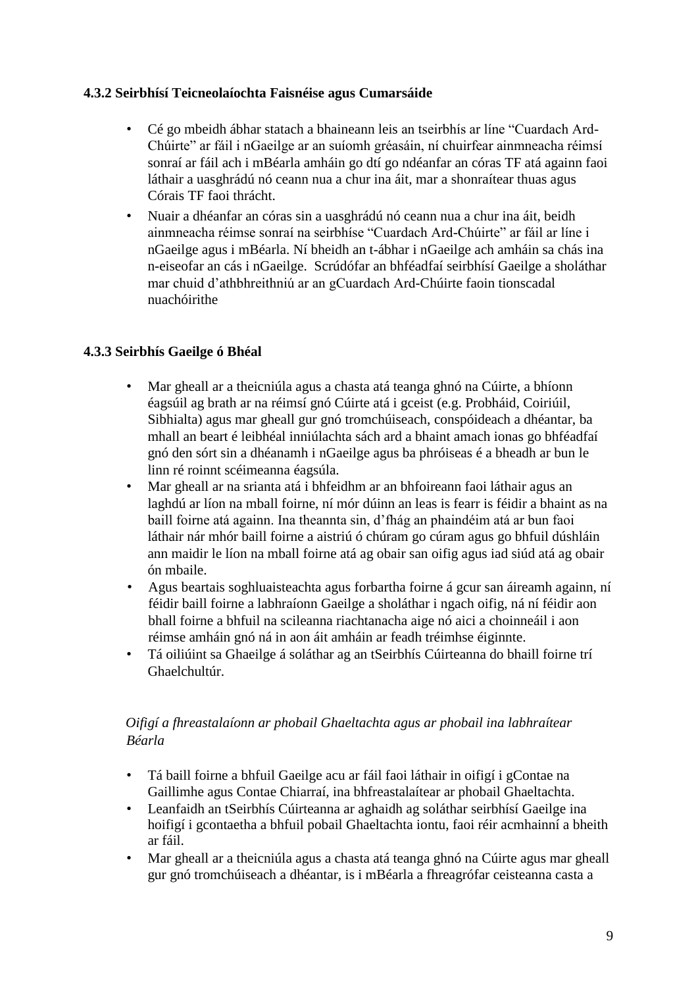# **4.3.2 Seirbhísí Teicneolaíochta Faisnéise agus Cumarsáide**

- Cé go mbeidh ábhar statach a bhaineann leis an tseirbhís ar líne "Cuardach Ard-Chúirte" ar fáil i nGaeilge ar an suíomh gréasáin, ní chuirfear ainmneacha réimsí sonraí ar fáil ach i mBéarla amháin go dtí go ndéanfar an córas TF atá againn faoi láthair a uasghrádú nó ceann nua a chur ina áit, mar a shonraítear thuas agus Córais TF faoi thrácht.
- Nuair a dhéanfar an córas sin a uasghrádú nó ceann nua a chur ina áit, beidh ainmneacha réimse sonraí na seirbhíse "Cuardach Ard-Chúirte" ar fáil ar líne i nGaeilge agus i mBéarla. Ní bheidh an t-ábhar i nGaeilge ach amháin sa chás ina n-eiseofar an cás i nGaeilge. Scrúdófar an bhféadfaí seirbhísí Gaeilge a sholáthar mar chuid d'athbhreithniú ar an gCuardach Ard-Chúirte faoin tionscadal nuachóirithe

# **4.3.3 Seirbhís Gaeilge ó Bhéal**

- Mar gheall ar a theicniúla agus a chasta atá teanga ghnó na Cúirte, a bhíonn éagsúil ag brath ar na réimsí gnó Cúirte atá i gceist (e.g. Probháid, Coiriúil, Sibhialta) agus mar gheall gur gnó tromchúiseach, conspóideach a dhéantar, ba mhall an beart é leibhéal inniúlachta sách ard a bhaint amach ionas go bhféadfaí gnó den sórt sin a dhéanamh i nGaeilge agus ba phróiseas é a bheadh ar bun le linn ré roinnt scéimeanna éagsúla.
- Mar gheall ar na srianta atá i bhfeidhm ar an bhfoireann faoi láthair agus an laghdú ar líon na mball foirne, ní mór dúinn an leas is fearr is féidir a bhaint as na baill foirne atá againn. Ina theannta sin, d'fhág an phaindéim atá ar bun faoi láthair nár mhór baill foirne a aistriú ó chúram go cúram agus go bhfuil dúshláin ann maidir le líon na mball foirne atá ag obair san oifig agus iad siúd atá ag obair ón mbaile.
- Agus beartais soghluaisteachta agus forbartha foirne á gcur san áireamh againn, ní féidir baill foirne a labhraíonn Gaeilge a sholáthar i ngach oifig, ná ní féidir aon bhall foirne a bhfuil na scileanna riachtanacha aige nó aici a choinneáil i aon réimse amháin gnó ná in aon áit amháin ar feadh tréimhse éiginnte.
- Tá oiliúint sa Ghaeilge á soláthar ag an tSeirbhís Cúirteanna do bhaill foirne trí Ghaelchultúr.

# *Oifigí a fhreastalaíonn ar phobail Ghaeltachta agus ar phobail ina labhraítear Béarla*

- Tá baill foirne a bhfuil Gaeilge acu ar fáil faoi láthair in oifigí i gContae na Gaillimhe agus Contae Chiarraí, ina bhfreastalaítear ar phobail Ghaeltachta.
- Leanfaidh an tSeirbhís Cúirteanna ar aghaidh ag soláthar seirbhísí Gaeilge ina hoifigí i gcontaetha a bhfuil pobail Ghaeltachta iontu, faoi réir acmhainní a bheith ar fáil.
- Mar gheall ar a theicniúla agus a chasta atá teanga ghnó na Cúirte agus mar gheall gur gnó tromchúiseach a dhéantar, is i mBéarla a fhreagrófar ceisteanna casta a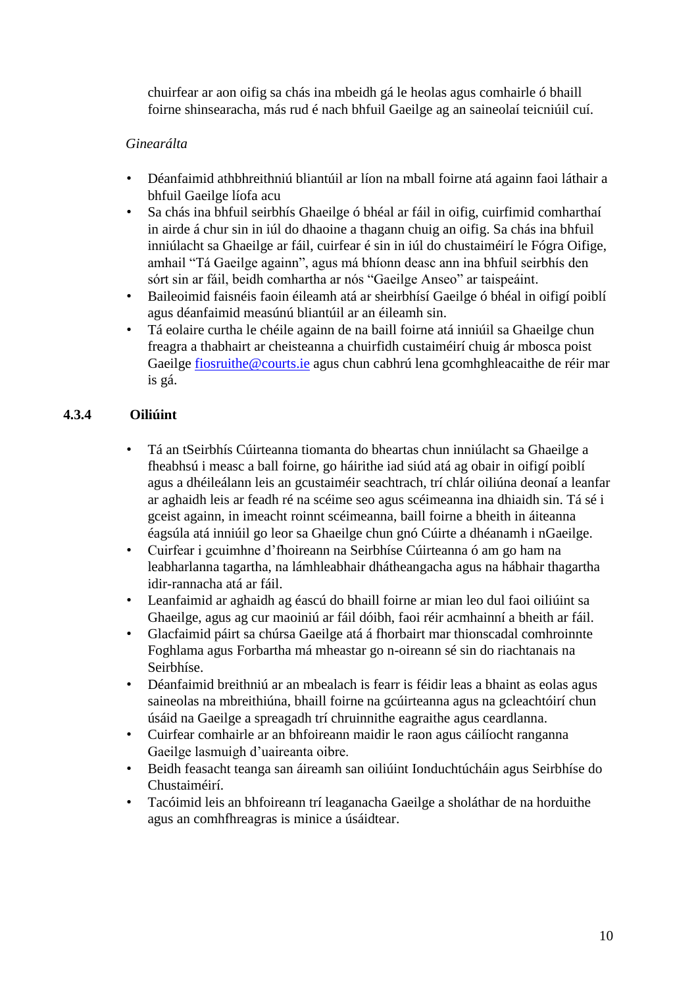chuirfear ar aon oifig sa chás ina mbeidh gá le heolas agus comhairle ó bhaill foirne shinsearacha, más rud é nach bhfuil Gaeilge ag an saineolaí teicniúil cuí.

# *Ginearálta*

- Déanfaimid athbhreithniú bliantúil ar líon na mball foirne atá againn faoi láthair a bhfuil Gaeilge líofa acu
- Sa chás ina bhfuil seirbhís Ghaeilge ó bhéal ar fáil in oifig, cuirfimid comharthaí in airde á chur sin in iúl do dhaoine a thagann chuig an oifig. Sa chás ina bhfuil inniúlacht sa Ghaeilge ar fáil, cuirfear é sin in iúl do chustaiméirí le Fógra Oifige, amhail "Tá Gaeilge againn", agus má bhíonn deasc ann ina bhfuil seirbhís den sórt sin ar fáil, beidh comhartha ar nós "Gaeilge Anseo" ar taispeáint.
- Baileoimid faisnéis faoin éileamh atá ar sheirbhísí Gaeilge ó bhéal in oifigí poiblí agus déanfaimid measúnú bliantúil ar an éileamh sin.
- Tá eolaire curtha le chéile againn de na baill foirne atá inniúil sa Ghaeilge chun freagra a thabhairt ar cheisteanna a chuirfidh custaiméirí chuig ár mbosca poist Gaeilge fiosruithe@courts.ie agus chun cabhrú lena gcomhghleacaithe de réir mar is gá.

# **4.3.4 Oiliúint**

- Tá an tSeirbhís Cúirteanna tiomanta do bheartas chun inniúlacht sa Ghaeilge a fheabhsú i measc a ball foirne, go háirithe iad siúd atá ag obair in oifigí poiblí agus a dhéileálann leis an gcustaiméir seachtrach, trí chlár oiliúna deonaí a leanfar ar aghaidh leis ar feadh ré na scéime seo agus scéimeanna ina dhiaidh sin. Tá sé i gceist againn, in imeacht roinnt scéimeanna, baill foirne a bheith in áiteanna éagsúla atá inniúil go leor sa Ghaeilge chun gnó Cúirte a dhéanamh i nGaeilge.
- Cuirfear i gcuimhne d'fhoireann na Seirbhíse Cúirteanna ó am go ham na leabharlanna tagartha, na lámhleabhair dhátheangacha agus na hábhair thagartha idir-rannacha atá ar fáil.
- Leanfaimid ar aghaidh ag éascú do bhaill foirne ar mian leo dul faoi oiliúint sa Ghaeilge, agus ag cur maoiniú ar fáil dóibh, faoi réir acmhainní a bheith ar fáil.
- Glacfaimid páirt sa chúrsa Gaeilge atá á fhorbairt mar thionscadal comhroinnte Foghlama agus Forbartha má mheastar go n-oireann sé sin do riachtanais na Seirbhíse.
- Déanfaimid breithniú ar an mbealach is fearr is féidir leas a bhaint as eolas agus saineolas na mbreithiúna, bhaill foirne na gcúirteanna agus na gcleachtóirí chun úsáid na Gaeilge a spreagadh trí chruinnithe eagraithe agus ceardlanna.
- Cuirfear comhairle ar an bhfoireann maidir le raon agus cáilíocht ranganna Gaeilge lasmuigh d'uaireanta oibre.
- Beidh feasacht teanga san áireamh san oiliúint Ionduchtúcháin agus Seirbhíse do Chustaiméirí.
- Tacóimid leis an bhfoireann trí leaganacha Gaeilge a sholáthar de na horduithe agus an comhfhreagras is minice a úsáidtear.